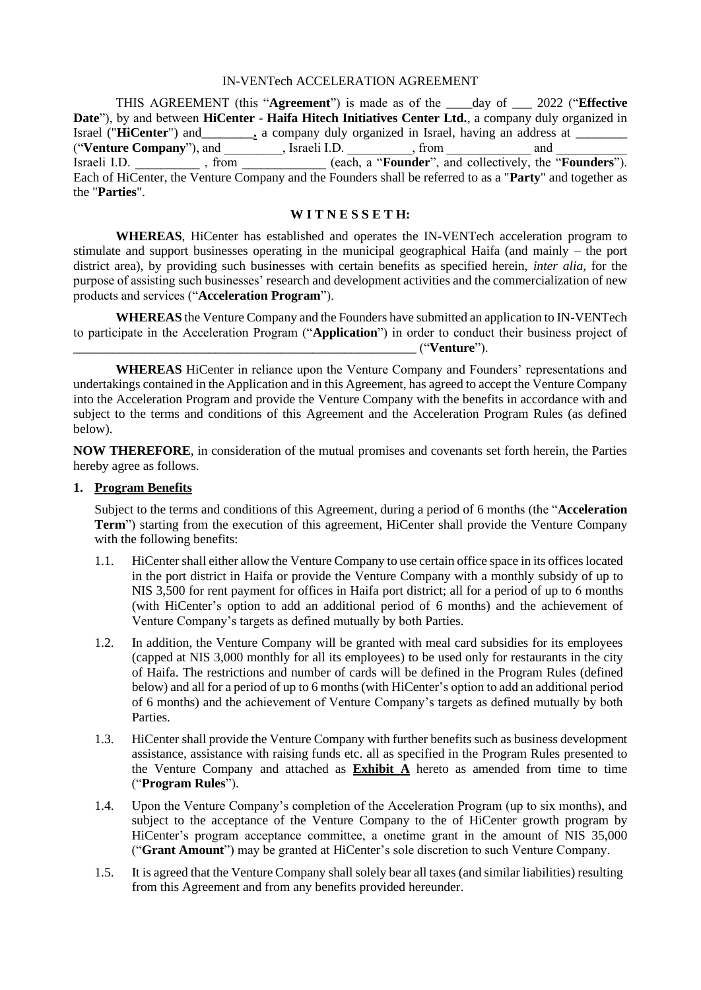#### IN-VENTech ACCELERATION AGREEMENT

THIS AGREEMENT (this "**Agreement**") is made as of the \_\_\_\_day of \_\_\_ 2022 ("**Effective Date**"), by and between **HiCenter - Haifa Hitech Initiatives Center Ltd.**, a company duly organized in Israel ("**HiCenter**") and <u>equal a company duly organized in Israel</u>, having an address at ("Venture Company"), and \_\_\_\_\_\_\_\_, Israeli I.D. \_\_\_\_\_\_\_\_, from \_\_\_\_\_\_\_\_\_\_\_\_\_\_\_\_\_\_ and Israeli I.D. \_\_\_\_\_\_\_\_\_\_ , from \_\_\_\_\_\_\_\_\_\_\_\_\_ (each, a "**Founder**", and collectively, the "**Founders**"). Each of HiCenter, the Venture Company and the Founders shall be referred to as a "**Party**" and together as the "**Parties**".

#### **W I T N E S S E T H:**

**WHEREAS**, HiCenter has established and operates the IN-VENTech acceleration program to stimulate and support businesses operating in the municipal geographical Haifa (and mainly – the port district area), by providing such businesses with certain benefits as specified herein, *inter alia*, for the purpose of assisting such businesses' research and development activities and the commercialization of new products and services ("**Acceleration Program**").

**WHEREAS** the Venture Company and the Founders have submitted an application to IN-VENTech to participate in the Acceleration Program ("**Application**") in order to conduct their business project of \_\_\_\_\_\_\_\_\_\_\_\_\_\_\_\_\_\_\_\_\_\_\_\_\_\_\_\_\_\_\_\_\_\_\_\_\_\_\_\_\_\_\_\_\_\_\_\_\_\_\_\_\_ ("**Venture**").

**WHEREAS** HiCenter in reliance upon the Venture Company and Founders' representations and undertakings contained in the Application and in this Agreement, has agreed to accept the Venture Company into the Acceleration Program and provide the Venture Company with the benefits in accordance with and subject to the terms and conditions of this Agreement and the Acceleration Program Rules (as defined below).

**NOW THEREFORE**, in consideration of the mutual promises and covenants set forth herein, the Parties hereby agree as follows.

#### **1. Program Benefits**

Subject to the terms and conditions of this Agreement, during a period of 6 months (the "**Acceleration Term**") starting from the execution of this agreement, HiCenter shall provide the Venture Company with the following benefits:

- 1.1. HiCenter shall either allow the Venture Company to use certain office space in its offices located in the port district in Haifa or provide the Venture Company with a monthly subsidy of up to NIS 3,500 for rent payment for offices in Haifa port district; all for a period of up to 6 months (with HiCenter's option to add an additional period of 6 months) and the achievement of Venture Company's targets as defined mutually by both Parties.
- 1.2. In addition, the Venture Company will be granted with meal card subsidies for its employees (capped at NIS 3,000 monthly for all its employees) to be used only for restaurants in the city of Haifa. The restrictions and number of cards will be defined in the Program Rules (defined below) and all for a period of up to 6 months (with HiCenter's option to add an additional period of 6 months) and the achievement of Venture Company's targets as defined mutually by both **Parties**
- 1.3. HiCenter shall provide the Venture Company with further benefits such as business development assistance, assistance with raising funds etc. all as specified in the Program Rules presented to the Venture Company and attached as **Exhibit A** hereto as amended from time to time ("**Program Rules**").
- 1.4. Upon the Venture Company's completion of the Acceleration Program (up to six months), and subject to the acceptance of the Venture Company to the of HiCenter growth program by HiCenter's program acceptance committee, a onetime grant in the amount of NIS 35,000 ("**Grant Amount**") may be granted at HiCenter's sole discretion to such Venture Company.
- 1.5. It is agreed that the Venture Company shall solely bear all taxes (and similar liabilities) resulting from this Agreement and from any benefits provided hereunder.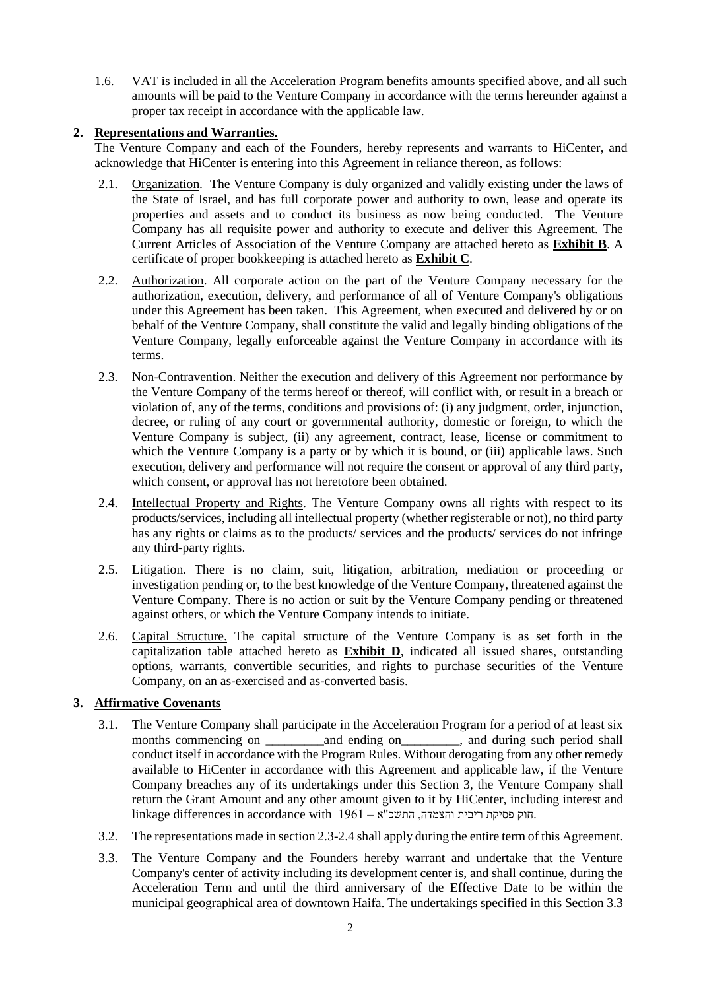1.6. VAT is included in all the Acceleration Program benefits amounts specified above, and all such amounts will be paid to the Venture Company in accordance with the terms hereunder against a proper tax receipt in accordance with the applicable law.

# **2. Representations and Warranties.**

The Venture Company and each of the Founders, hereby represents and warrants to HiCenter, and acknowledge that HiCenter is entering into this Agreement in reliance thereon, as follows:

- 2.1. Organization. The Venture Company is duly organized and validly existing under the laws of the State of Israel, and has full corporate power and authority to own, lease and operate its properties and assets and to conduct its business as now being conducted. The Venture Company has all requisite power and authority to execute and deliver this Agreement. The Current Articles of Association of the Venture Company are attached hereto as **Exhibit B**. A certificate of proper bookkeeping is attached hereto as **Exhibit C**.
- 2.2. Authorization. All corporate action on the part of the Venture Company necessary for the authorization, execution, delivery, and performance of all of Venture Company's obligations under this Agreement has been taken. This Agreement, when executed and delivered by or on behalf of the Venture Company, shall constitute the valid and legally binding obligations of the Venture Company, legally enforceable against the Venture Company in accordance with its terms.
- 2.3. Non-Contravention. Neither the execution and delivery of this Agreement nor performance by the Venture Company of the terms hereof or thereof, will conflict with, or result in a breach or violation of, any of the terms, conditions and provisions of: (i) any judgment, order, injunction, decree, or ruling of any court or governmental authority, domestic or foreign, to which the Venture Company is subject, (ii) any agreement, contract, lease, license or commitment to which the Venture Company is a party or by which it is bound, or (iii) applicable laws. Such execution, delivery and performance will not require the consent or approval of any third party, which consent, or approval has not heretofore been obtained.
- 2.4. Intellectual Property and Rights. The Venture Company owns all rights with respect to its products/services, including all intellectual property (whether registerable or not), no third party has any rights or claims as to the products/ services and the products/ services do not infringe any third-party rights.
- 2.5. Litigation. There is no claim, suit, litigation, arbitration, mediation or proceeding or investigation pending or, to the best knowledge of the Venture Company, threatened against the Venture Company. There is no action or suit by the Venture Company pending or threatened against others, or which the Venture Company intends to initiate.
- 2.6. Capital Structure. The capital structure of the Venture Company is as set forth in the capitalization table attached hereto as **Exhibit D**, indicated all issued shares, outstanding options, warrants, convertible securities, and rights to purchase securities of the Venture Company, on an as-exercised and as-converted basis.

# **3. Affirmative Covenants**

- 3.1. The Venture Company shall participate in the Acceleration Program for a period of at least six months commencing on and ending on  $\qquad$ , and during such period shall conduct itself in accordance with the Program Rules. Without derogating from any other remedy available to HiCenter in accordance with this Agreement and applicable law, if the Venture Company breaches any of its undertakings under this Section 3, the Venture Company shall return the Grant Amount and any other amount given to it by HiCenter, including interest and linkage differences in accordance with  $1961 -$ וק פסיקת ריבית והצמדה, התשכ"א
- 3.2. The representations made in section 2.3-2.4 shall apply during the entire term of this Agreement.
- 3.3. The Venture Company and the Founders hereby warrant and undertake that the Venture Company's center of activity including its development center is, and shall continue, during the Acceleration Term and until the third anniversary of the Effective Date to be within the municipal geographical area of downtown Haifa. The undertakings specified in this Section 3.3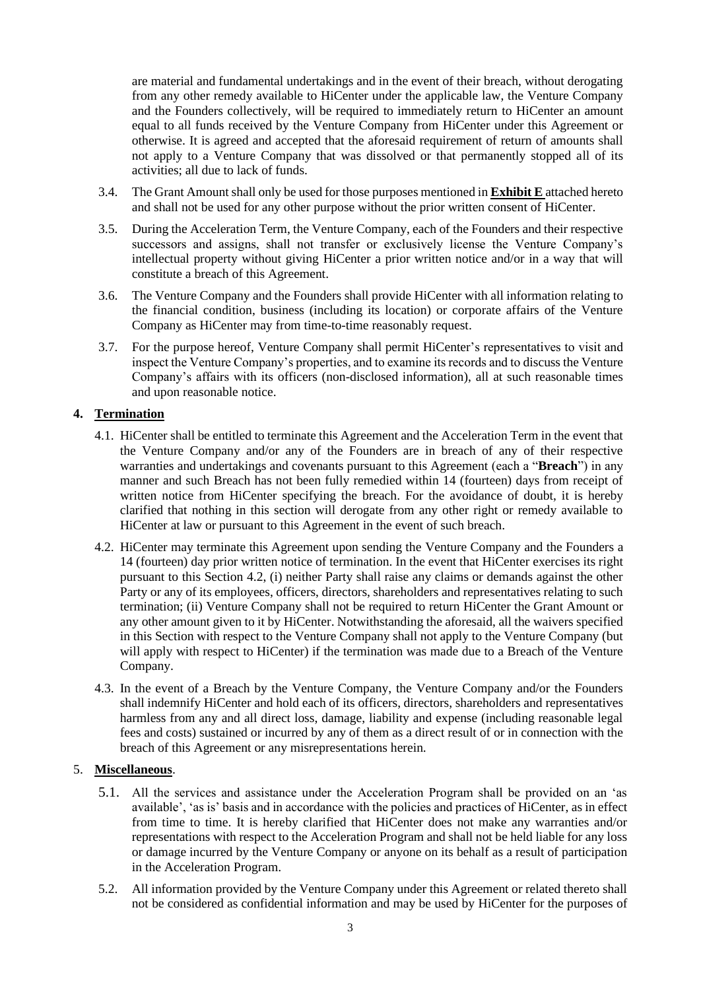are material and fundamental undertakings and in the event of their breach, without derogating from any other remedy available to HiCenter under the applicable law, the Venture Company and the Founders collectively, will be required to immediately return to HiCenter an amount equal to all funds received by the Venture Company from HiCenter under this Agreement or otherwise. It is agreed and accepted that the aforesaid requirement of return of amounts shall not apply to a Venture Company that was dissolved or that permanently stopped all of its activities; all due to lack of funds.

- 3.4. The Grant Amount shall only be used for those purposes mentioned in **Exhibit E** attached hereto and shall not be used for any other purpose without the prior written consent of HiCenter.
- 3.5. During the Acceleration Term, the Venture Company, each of the Founders and their respective successors and assigns, shall not transfer or exclusively license the Venture Company's intellectual property without giving HiCenter a prior written notice and/or in a way that will constitute a breach of this Agreement.
- 3.6. The Venture Company and the Founders shall provide HiCenter with all information relating to the financial condition, business (including its location) or corporate affairs of the Venture Company as HiCenter may from time-to-time reasonably request.
- 3.7. For the purpose hereof, Venture Company shall permit HiCenter's representatives to visit and inspect the Venture Company's properties, and to examine its records and to discuss the Venture Company's affairs with its officers (non-disclosed information), all at such reasonable times and upon reasonable notice.

### **4. Termination**

- 4.1. HiCenter shall be entitled to terminate this Agreement and the Acceleration Term in the event that the Venture Company and/or any of the Founders are in breach of any of their respective warranties and undertakings and covenants pursuant to this Agreement (each a "**Breach**") in any manner and such Breach has not been fully remedied within 14 (fourteen) days from receipt of written notice from HiCenter specifying the breach. For the avoidance of doubt, it is hereby clarified that nothing in this section will derogate from any other right or remedy available to HiCenter at law or pursuant to this Agreement in the event of such breach.
- 4.2. HiCenter may terminate this Agreement upon sending the Venture Company and the Founders a 14 (fourteen) day prior written notice of termination. In the event that HiCenter exercises its right pursuant to this Section 4.2, (i) neither Party shall raise any claims or demands against the other Party or any of its employees, officers, directors, shareholders and representatives relating to such termination; (ii) Venture Company shall not be required to return HiCenter the Grant Amount or any other amount given to it by HiCenter. Notwithstanding the aforesaid, all the waivers specified in this Section with respect to the Venture Company shall not apply to the Venture Company (but will apply with respect to HiCenter) if the termination was made due to a Breach of the Venture Company.
- 4.3. In the event of a Breach by the Venture Company, the Venture Company and/or the Founders shall indemnify HiCenter and hold each of its officers, directors, shareholders and representatives harmless from any and all direct loss, damage, liability and expense (including reasonable legal fees and costs) sustained or incurred by any of them as a direct result of or in connection with the breach of this Agreement or any misrepresentations herein.

# 5. **Miscellaneous**.

- 5.1. All the services and assistance under the Acceleration Program shall be provided on an 'as available', 'as is' basis and in accordance with the policies and practices of HiCenter, as in effect from time to time. It is hereby clarified that HiCenter does not make any warranties and/or representations with respect to the Acceleration Program and shall not be held liable for any loss or damage incurred by the Venture Company or anyone on its behalf as a result of participation in the Acceleration Program.
- 5.2. All information provided by the Venture Company under this Agreement or related thereto shall not be considered as confidential information and may be used by HiCenter for the purposes of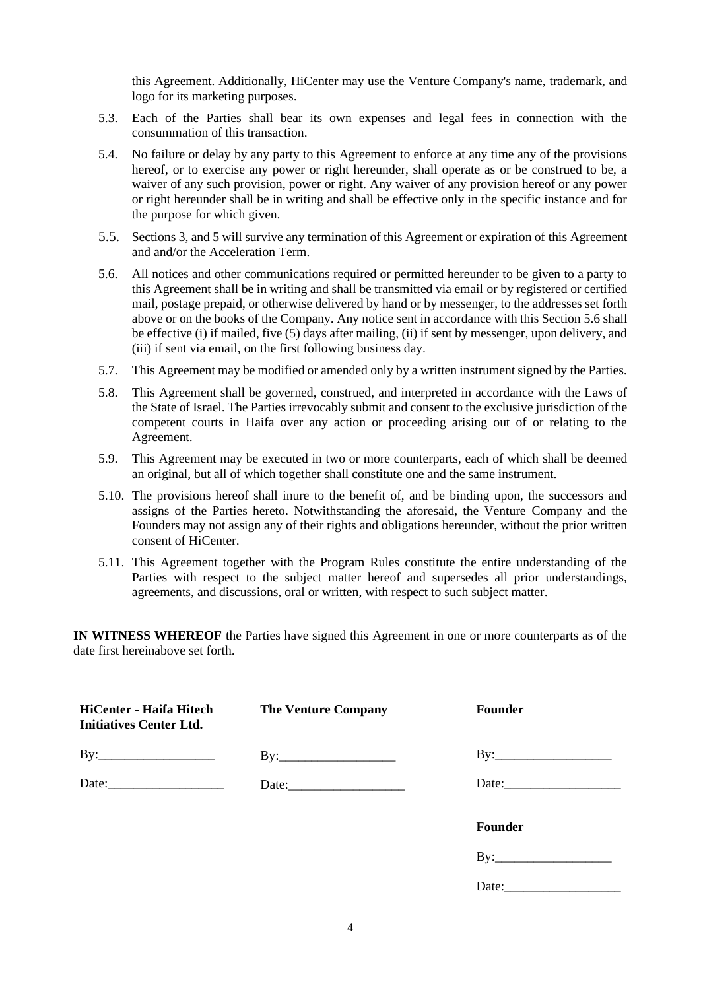this Agreement. Additionally, HiCenter may use the Venture Company's name, trademark, and logo for its marketing purposes.

- 5.3. Each of the Parties shall bear its own expenses and legal fees in connection with the consummation of this transaction.
- 5.4. No failure or delay by any party to this Agreement to enforce at any time any of the provisions hereof, or to exercise any power or right hereunder, shall operate as or be construed to be, a waiver of any such provision, power or right. Any waiver of any provision hereof or any power or right hereunder shall be in writing and shall be effective only in the specific instance and for the purpose for which given.
- 5.5. Sections 3, and 5 will survive any termination of this Agreement or expiration of this Agreement and and/or the Acceleration Term.
- 5.6. All notices and other communications required or permitted hereunder to be given to a party to this Agreement shall be in writing and shall be transmitted via email or by registered or certified mail, postage prepaid, or otherwise delivered by hand or by messenger, to the addresses set forth above or on the books of the Company. Any notice sent in accordance with this Section 5.6 shall be effective (i) if mailed, five (5) days after mailing, (ii) if sent by messenger, upon delivery, and (iii) if sent via email, on the first following business day.
- 5.7. This Agreement may be modified or amended only by a written instrument signed by the Parties.
- 5.8. This Agreement shall be governed, construed, and interpreted in accordance with the Laws of the State of Israel. The Parties irrevocably submit and consent to the exclusive jurisdiction of the competent courts in Haifa over any action or proceeding arising out of or relating to the Agreement.
- 5.9. This Agreement may be executed in two or more counterparts, each of which shall be deemed an original, but all of which together shall constitute one and the same instrument.
- 5.10. The provisions hereof shall inure to the benefit of, and be binding upon, the successors and assigns of the Parties hereto. Notwithstanding the aforesaid, the Venture Company and the Founders may not assign any of their rights and obligations hereunder, without the prior written consent of HiCenter.
- 5.11. This Agreement together with the Program Rules constitute the entire understanding of the Parties with respect to the subject matter hereof and supersedes all prior understandings, agreements, and discussions, oral or written, with respect to such subject matter.

**IN WITNESS WHEREOF** the Parties have signed this Agreement in one or more counterparts as of the date first hereinabove set forth.

| <b>HiCenter - Haifa Hitech</b><br><b>Initiatives Center Ltd.</b> | <b>The Venture Company</b> | <b>Founder</b> |
|------------------------------------------------------------------|----------------------------|----------------|
| $\text{By:}\_$                                                   | $\mathrm{By:}$             | $\text{By:}\_$ |
| Date:                                                            |                            |                |
|                                                                  |                            | <b>Founder</b> |
|                                                                  |                            | By:            |
|                                                                  |                            | Date:          |